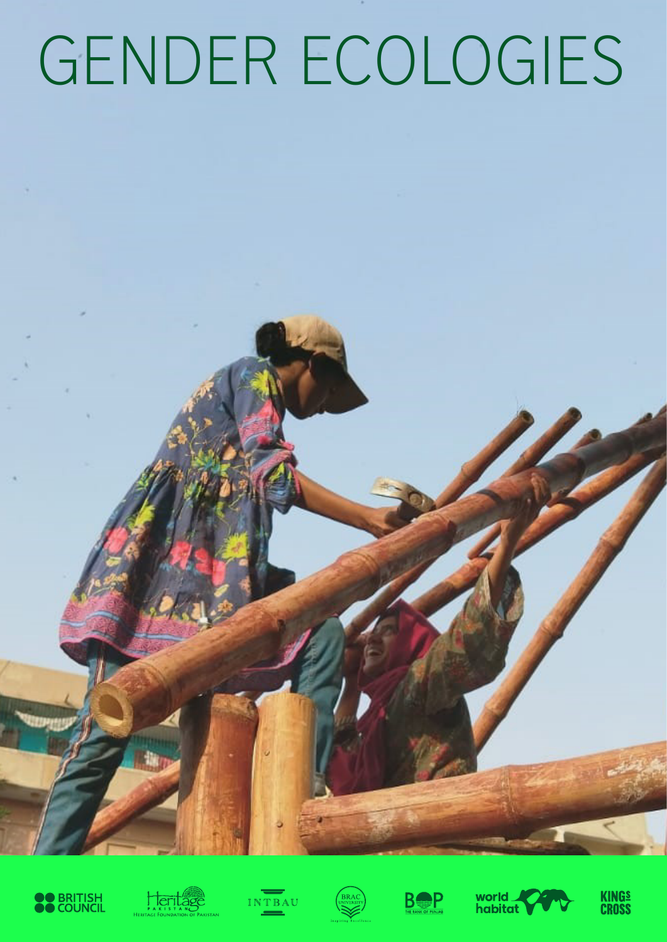# GENDER ECOLOGIES















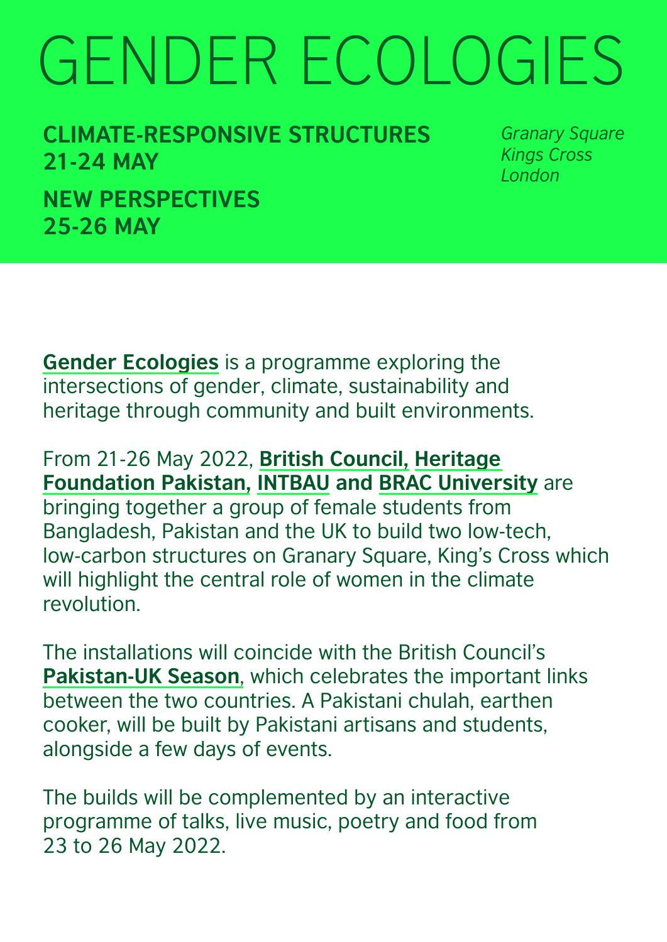# GENDER ECOLOGIES

**CLIMATE-RESPONSIVE STRUCTURES 21-24 MAY NEW PERSPECTIVES 25-26 MAY**

*Granary Square Kings Cross London*

**[Gender Ecologies](https://www.britishcouncil.pk/programmes/arts/gender-ecologies)** is a programme exploring the intersections of gender, climate, sustainability and heritage through community and built environments.

From 21-26 May 2022, **[British Council](https://www.britishcouncil.pk/programmes/arts/gender-ecologies), [Heritage](https://www.heritagefoundationpak.org/) [Foundation Pakistan,](https://www.heritagefoundationpak.org/) [INTBAU](https://www.intbau.org/) and [BRAC University](https://www.bracu.ac.bd/)** are bringing together a group of female students from Bangladesh, Pakistan and the UK to build two low-tech, low-carbon structures on Granary Square, King's Cross which will highlight the central role of women in the climate revolution.

The installations will coincide with the British Council's **[Pakistan-UK Season](https://www.britishcouncil.pk/programmes/pakistan-uk-new-perspectives/gender-ecologies)**, which celebrates the important links between the two countries. A Pakistani chulah, earthen cooker, will be built by Pakistani artisans and students, alongside a few days of events.

The builds will be complemented by an interactive programme of talks, live music, poetry and food from 23 to 26 May 2022.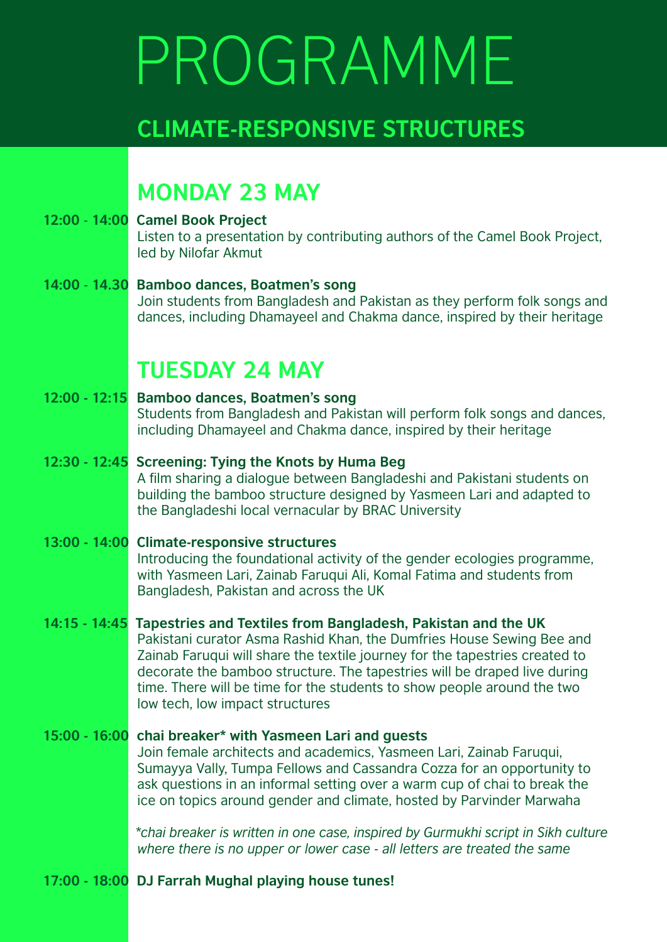## PROGRAMME

## **CLIMATE-RESPONSIVE STRUCTURES**

### **MONDAY 23 MAY**

- **12:00** - **14:00 Camel Book Project** Listen to a presentation by contributing authors of the Camel Book Project, led by Nilofar Akmut
- **14:00** - **14.30 Bamboo dances, Boatmen's song** Join students from Bangladesh and Pakistan as they perform folk songs and dances, including Dhamayeel and Chakma dance, inspired by their heritage

## **TUESDAY 24 MAY**

### **12:00 - 12:15 Bamboo dances, Boatmen's song** Students from Bangladesh and Pakistan will perform folk songs and dances, including Dhamayeel and Chakma dance, inspired by their heritage

### **12:30 - 12:45 Screening: Tying the Knots by Huma Beg** A film sharing a dialogue between Bangladeshi and Pakistani students on building the bamboo structure designed by Yasmeen Lari and adapted to the Bangladeshi local vernacular by BRAC University

### **13:00 - 14:00 Climate-responsive structures** Introducing the foundational activity of the gender ecologies programme, with Yasmeen Lari, Zainab Faruqui Ali, Komal Fatima and students from Bangladesh, Pakistan and across the UK

**14:15 - 14:45 Tapestries and Textiles from Bangladesh, Pakistan and the UK** Pakistani curator Asma Rashid Khan, the Dumfries House Sewing Bee and Zainab Faruqui will share the textile journey for the tapestries created to decorate the bamboo structure. The tapestries will be draped live during time. There will be time for the students to show people around the two low tech, low impact structures

#### **15:00 - 16:00 chai breaker\* with Yasmeen Lari and guests** Join female architects and academics, Yasmeen Lari, Zainab Faruqui, Sumayya Vally, Tumpa Fellows and Cassandra Cozza for an opportunity to ask questions in an informal setting over a warm cup of chai to break the

 *\*chai breaker is written in one case, inspired by Gurmukhi script in Sikh culture where there is no upper or lower case - all letters are treated the same*

ice on topics around gender and climate, hosted by Parvinder Marwaha

### **17:00 - 18:00 DJ Farrah Mughal playing house tunes!**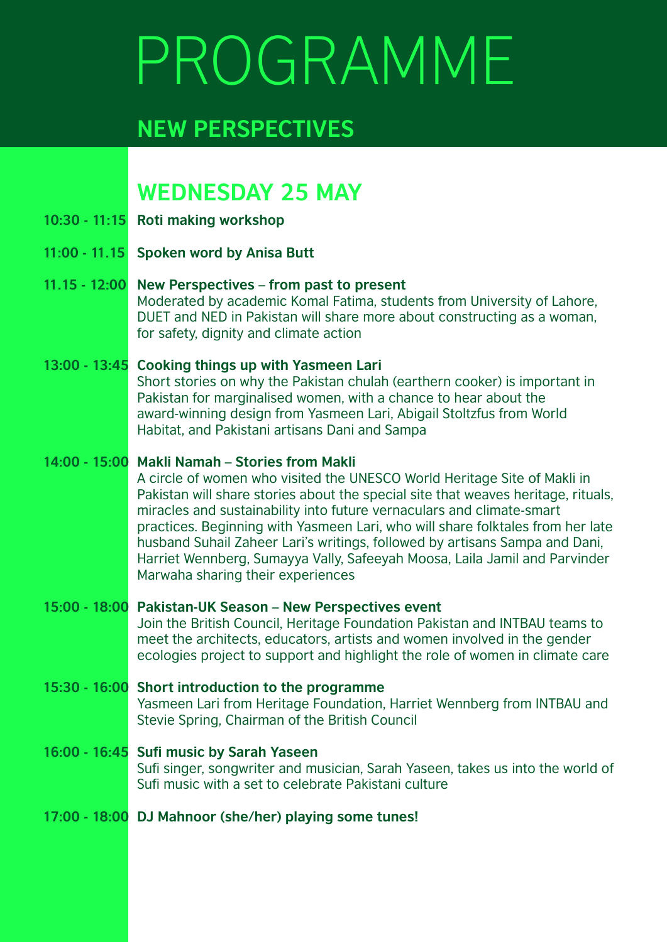## PROGRAMME

## **NEW PERSPECTIVES**

### **WEDNESDAY 25 MAY**

- **10:30 11:15 Roti making workshop**
- **11:00 11.15 Spoken word by Anisa Butt**
- **11.15 12:00 New Perspectives from past to present** Moderated by academic Komal Fatima, students from University of Lahore, DUET and NED in Pakistan will share more about constructing as a woman, for safety, dignity and climate action
- **13:00 13:45 Cooking things up with Yasmeen Lari** Short stories on why the Pakistan chulah (earthern cooker) is important in Pakistan for marginalised women, with a chance to hear about the award-winning design from Yasmeen Lari, Abigail Stoltzfus from World Habitat, and Pakistani artisans Dani and Sampa

### **14:00 - 15:00 Makli Namah – Stories from Makli**

A circle of women who visited the UNESCO World Heritage Site of Makli in Pakistan will share stories about the special site that weaves heritage, rituals, miracles and sustainability into future vernaculars and climate-smart practices. Beginning with Yasmeen Lari, who will share folktales from her late husband Suhail Zaheer Lari's writings, followed by artisans Sampa and Dani, Harriet Wennberg, Sumayya Vally, Safeeyah Moosa, Laila Jamil and Parvinder Marwaha sharing their experiences

### **15:00 - 18:00 Pakistan-UK Season – New Perspectives event** Join the British Council, Heritage Foundation Pakistan and INTBAU teams to

meet the architects, educators, artists and women involved in the gender ecologies project to support and highlight the role of women in climate care

- **15:30 16:00 Short introduction to the programme** Yasmeen Lari from Heritage Foundation, Harriet Wennberg from INTBAU and Stevie Spring, Chairman of the British Council
- **16:00 16:45 Sufi music by Sarah Yaseen** Sufi singer, songwriter and musician, Sarah Yaseen, takes us into the world of Sufi music with a set to celebrate Pakistani culture
- **17:00 18:00 DJ Mahnoor (she/her) playing some tunes!**